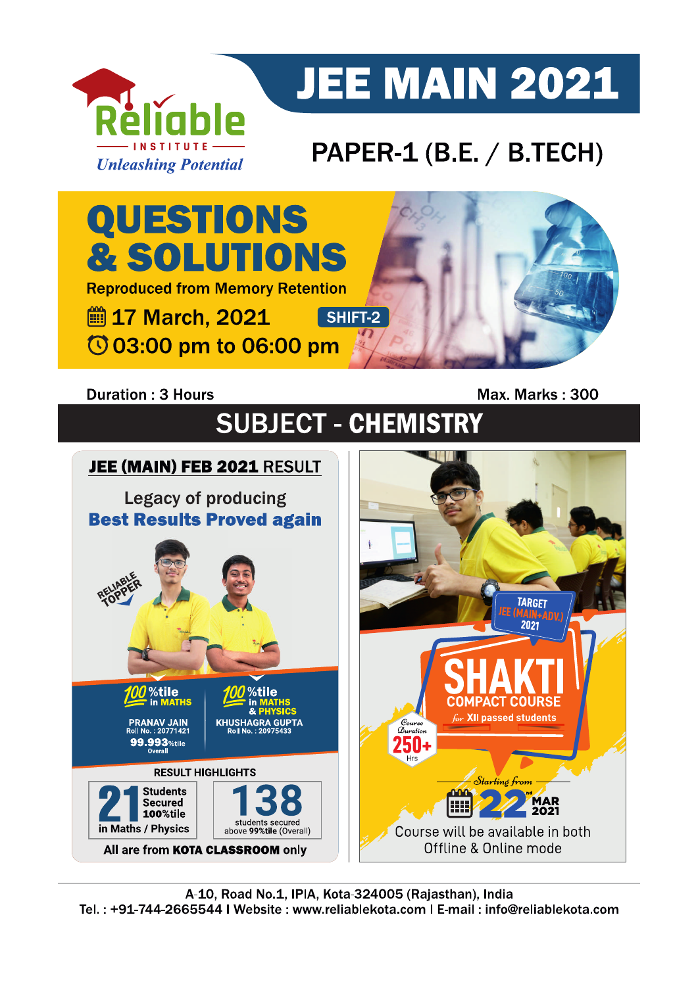

# **JEE MAIN 2021**

### PAPER-1 (B.E. / B.TECH)



### **Duration: 3 Hours**

Max. Marks: 300

## **SUBJECT - CHEMISTRY**

### JEE (MAIN) FEB 2021 RESULT

**Legacy of producing Best Results Proved again** 



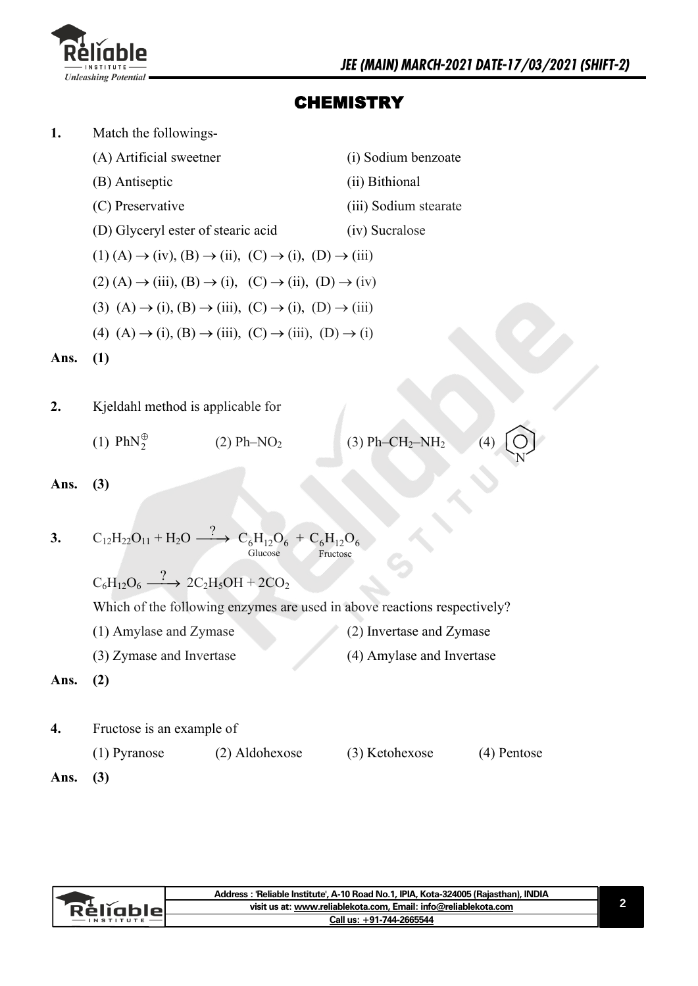

N

### **CHEMISTRY**

| 1.   | Match the followings-                                                                                 |                           |
|------|-------------------------------------------------------------------------------------------------------|---------------------------|
|      | (A) Artificial sweetner                                                                               | (i) Sodium benzoate       |
|      | (B) Antiseptic                                                                                        | (ii) Bithional            |
|      | (C) Preservative                                                                                      | (iii) Sodium stearate     |
|      | (D) Glyceryl ester of stearic acid                                                                    | (iv) Sucralose            |
|      | $(1)$ (A) $\rightarrow$ (iv), (B) $\rightarrow$ (ii), (C) $\rightarrow$ (i), (D) $\rightarrow$ (iii)  |                           |
|      | $(2)$ (A) $\rightarrow$ (iii), (B) $\rightarrow$ (i), (C) $\rightarrow$ (ii), (D) $\rightarrow$ (iv)  |                           |
|      | (3) (A) $\rightarrow$ (i), (B) $\rightarrow$ (iii), (C) $\rightarrow$ (i), (D) $\rightarrow$ (iii)    |                           |
|      | (4) $(A) \rightarrow (i)$ , $(B) \rightarrow (iii)$ , $(C) \rightarrow (iii)$ , $(D) \rightarrow (i)$ |                           |
| Ans. | (1)                                                                                                   |                           |
|      |                                                                                                       |                           |
| 2.   | Kjeldahl method is applicable for                                                                     |                           |
|      | $(1)$ PhN $_{2}^{\oplus}$<br>$(2) Ph-NO2$                                                             | $(3) Ph-CH2-NH2$<br>(4)   |
| Ans. | (3)                                                                                                   |                           |
|      |                                                                                                       |                           |
| 3.   | $C_{12}H_{22}O_{11} + H_2O \xrightarrow{?} C_6H_{12}O_6 + C_6H_{12}O_6$<br>Glucose<br>Fructose        |                           |
|      | $C_6H_{12}O_6 \stackrel{?}{\longrightarrow} 2C_2H_5OH + 2CO_2$                                        |                           |
|      | Which of the following enzymes are used in above reactions respectively?                              |                           |
|      | (1) Amylase and Zymase                                                                                | (2) Invertase and Zymase  |
|      | (3) Zymase and Invertase                                                                              | (4) Amylase and Invertase |
| Ans. | (2)                                                                                                   |                           |
|      |                                                                                                       |                           |

- **4.** Fructose is an example of
	- (1) Pyranose (2) Aldohexose (3) Ketohexose (4) Pentose
- **Ans. (3)**

|     | Address: 'Reliable Institute', A-10 Road No.1, IPIA, Kota-324005 (Rajasthan), INDIA |  |
|-----|-------------------------------------------------------------------------------------|--|
| чењ | visit us at: www.reliablekota.com, Email: info@reliablekota.com                     |  |
|     | Call us: +91-744-2665544                                                            |  |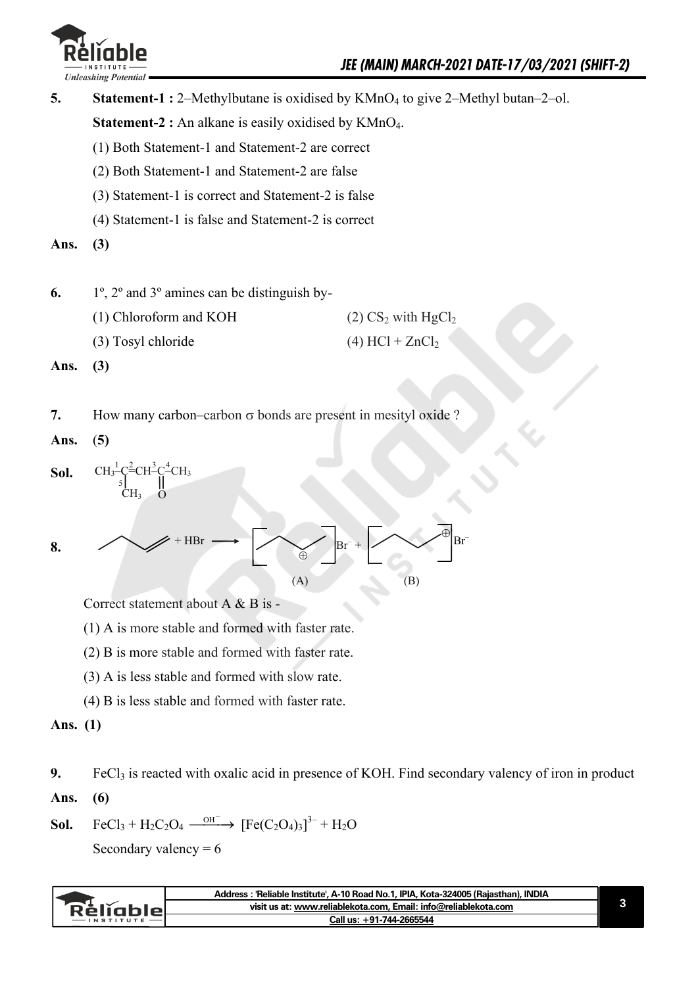

| 5.   | <b>Statement-1 :</b> 2–Methylbutane is oxidised by $KMnO_4$ to give 2–Methyl butan–2–ol. |                                  |
|------|------------------------------------------------------------------------------------------|----------------------------------|
|      | <b>Statement-2 :</b> An alkane is easily oxidised by $KMnO4$ .                           |                                  |
|      | (1) Both Statement-1 and Statement-2 are correct                                         |                                  |
|      | (2) Both Statement-1 and Statement-2 are false                                           |                                  |
|      | (3) Statement-1 is correct and Statement-2 is false                                      |                                  |
|      | (4) Statement-1 is false and Statement-2 is correct                                      |                                  |
| Ans. | (3)                                                                                      |                                  |
|      |                                                                                          |                                  |
| 6.   | 1°, 2° and 3° amines can be distinguish by-                                              |                                  |
|      | (1) Chloroform and KOH                                                                   | $(2) CS2$ with HgCl <sub>2</sub> |
|      | (3) Tosyl chloride                                                                       | $(4)$ HCl + ZnCl <sub>2</sub>    |
| Ans. | (3)                                                                                      |                                  |
|      |                                                                                          |                                  |
| 7.   | How many carbon-carbon $\sigma$ bonds are present in mesityl oxide ?                     |                                  |
| Ans. | (5)                                                                                      |                                  |
| Sol. | $CH_3^1C^2=CH^3C^4CH_3$<br>CH3                                                           |                                  |
| 8.   | HBr<br>$Br^{-}$ +<br>$\ddot{\oplus}$<br>(A)                                              | $Br^-$<br>(B)                    |

Correct statement about A & B is -

(1) A is more stable and formed with faster rate.

(2) B is more stable and formed with faster rate.

(3) A is less stable and formed with slow rate.

(4) B is less stable and formed with faster rate.

#### **Ans. (1)**

**9. Ans. (6)**  FeCl<sub>3</sub> is reacted with oxalic acid in presence of KOH. Find secondary valency of iron in product

**Sol.** 
$$
FeCl_3 + H_2C_2O_4 \xrightarrow{OH^-}
$$
  $[Fe(C_2O_4)_3]^{3-} + H_2O$ 

Secondary valency  $= 6$ 

|                 | Address: 'Reliable Institute', A-10 Road No.1, IPIA, Kota-324005 (Rajasthan), INDIA |  |
|-----------------|-------------------------------------------------------------------------------------|--|
| <b>Réliable</b> | visit us at: www.reliablekota.com, Email: info@reliablekota.com                     |  |
| $-$ INSTITUTE   | Call us: +91-744-2665544                                                            |  |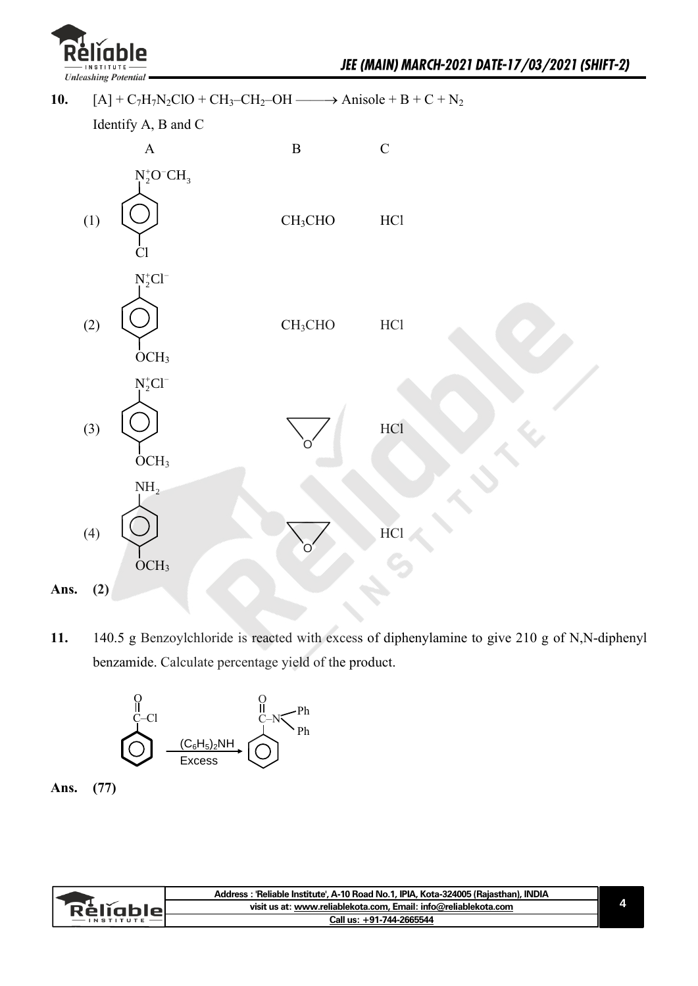

10.  $[A] + C_7H_7N_2ClO + CH_3-CH_2-OH \longrightarrow \text{Anisole} + B + C + N_2$ 



**11.** 140.5 g Benzoylchloride is reacted with excess of diphenylamine to give 210 g of N,N-diphenyl benzamide. Calculate percentage yield of the product.





|          | Address: 'Reliable Institute', A-10 Road No.1, IPIA, Kota-324005 (Rajasthan), INDIA |  |
|----------|-------------------------------------------------------------------------------------|--|
| Relighio | visit us at: www.reliablekota.com, Email: info@reliablekota.com                     |  |
|          | Call us: +91-744-2665544                                                            |  |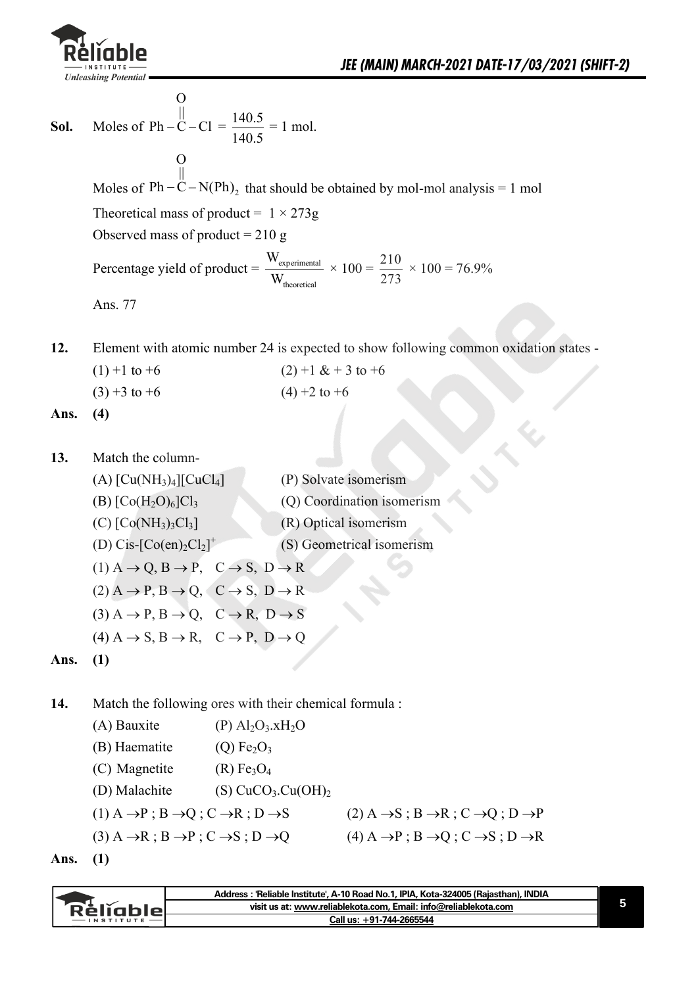

**Sol.** Moles of  $Ph - C - C$  $\Omega$ ||  $Ph - C - Cl = \frac{140.5}{140.5}$ 140.5  $= 1$  mol. Moles of  $Ph - C - N(Ph)$ <sub>2</sub> O || Ph  $-\ddot{C}$  – N(Ph)<sub>2</sub> that should be obtained by mol-mol analysis = 1 mol Theoretical mass of product =  $1 \times 273g$ Observed mass of product  $= 210$  g Percentage yield of product  $=$   $\frac{W_{\text{experimental}}}{\sqrt{2}}$ theoretical W W  $\times 100 = \frac{210}{278}$ 273  $\times 100 = 76.9\%$ Ans. 77

**12.** Element with atomic number 24 is expected to show following common oxidation states -

 $(1) +1$  to +6 (2) +1 & + 3 to +6  $(3) +3$  to  $+6$   $(4) +2$  to  $+6$ 

**Ans. (4)** 

- **13.** Match the column-
- (A)  $[Cu(NH_3)_4][CuCl_4]$  (P) Solvate isomerism (B)  $[Co(H<sub>2</sub>O)<sub>6</sub>]Cl<sub>3</sub>$  (Q) Coordination isomerism (C)  $[Co(NH<sub>3</sub>)<sub>3</sub>Cl<sub>3</sub>]$  (R) Optical isomerism (D)  $\text{Cis-}[\text{Co(en)}_2\text{Cl}_2]^+$  (S) Geometrical isomerism  $(1)$  A  $\rightarrow$  Q, B  $\rightarrow$  P, C  $\rightarrow$  S, D  $\rightarrow$  R  $(2)$  A  $\rightarrow$  P, B  $\rightarrow$  Q, C  $\rightarrow$  S, D  $\rightarrow$  R  $(3)$  A  $\rightarrow$  P, B  $\rightarrow$  Q, C  $\rightarrow$  R, D  $\rightarrow$  S  $(4)$  A  $\rightarrow$  S, B  $\rightarrow$  R, C  $\rightarrow$  P, D  $\rightarrow$  O **Ans. (1)**

**14.** Match the following ores with their chemical formula :

| (A) Bauxite                                                                      | $(P)$ Al <sub>2</sub> O <sub>3</sub> .xH <sub>2</sub> O |                                                                                  |
|----------------------------------------------------------------------------------|---------------------------------------------------------|----------------------------------------------------------------------------------|
| (B) Haematite                                                                    | $(Q)$ Fe <sub>2</sub> $O_3$                             |                                                                                  |
| (C) Magnetite                                                                    | (R) Fe <sub>3</sub> O <sub>4</sub>                      |                                                                                  |
| (D) Malachite                                                                    | $(S) CuCO3.Cu(OH)2$                                     |                                                                                  |
| $(1)$ A $\rightarrow$ P; B $\rightarrow$ Q; C $\rightarrow$ R; D $\rightarrow$ S |                                                         | $(2)$ A $\rightarrow$ S; B $\rightarrow$ R; C $\rightarrow$ Q; D $\rightarrow$ P |
| $(3)$ A $\rightarrow$ R; B $\rightarrow$ P; C $\rightarrow$ S; D $\rightarrow$ Q |                                                         | $(4)$ A $\rightarrow$ P; B $\rightarrow$ Q; C $\rightarrow$ S; D $\rightarrow$ R |
|                                                                                  |                                                         |                                                                                  |

**Ans. (1)** 

|           | Address: 'Reliable Institute', A-10 Road No.1, IPIA, Kota-324005 (Rajasthan), INDIA |
|-----------|-------------------------------------------------------------------------------------|
| Réliablel | visit us at: www.reliablekota.com. Email: info@reliablekota.com                     |
|           | Call us: +91-744-2665544                                                            |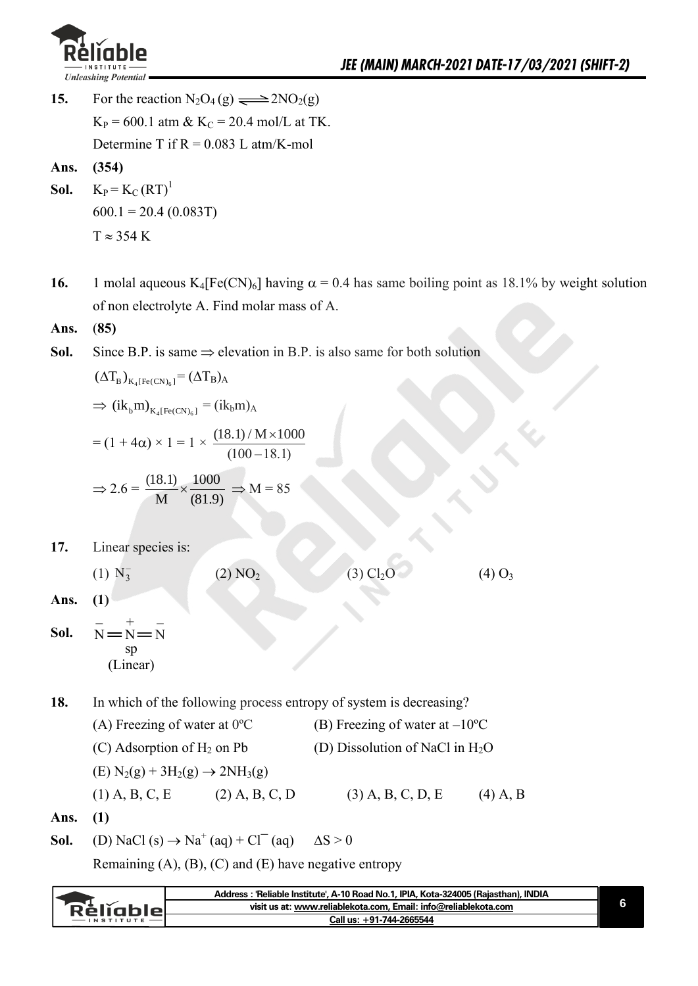

- **15.** For the reaction  $N_2O_4(g) \implies 2NO_2(g)$  $K_P = 600.1$  atm &  $K_C = 20.4$  mol/L at TK. Determine T if  $R = 0.083$  L atm/K-mol
- **Ans. (354)**
- **Sol.**  $K_P = K_C (RT)^1$  $600.1 = 20.4 (0.083T)$  $T \approx 354$  K
- **16.** 1 molal aqueous K<sub>4</sub>[Fe(CN)<sub>6</sub>] having  $\alpha$  = 0.4 has same boiling point as 18.1% by weight solution of non electrolyte A. Find molar mass of A.
- **Ans.** (**85)**
- **Sol.** Since B.P. is same  $\Rightarrow$  elevation in B.P. is also same for both solution

 $(\Delta T_B)_{K_4 [Fe(CN)_6]} = (\Delta T_B)_{A}$ 

 $\Rightarrow$  (ik<sub>b</sub>m)<sub>K<sub>4</sub>[Fe(CN)<sub>6</sub>]</sub> = (ik<sub>b</sub>m)<sub>A</sub>

$$
= (1 + 4\alpha) \times 1 = 1 \times \frac{(18.1) / M \times 1000}{(100 - 18.1)}
$$

$$
\Rightarrow 2.6 = \frac{(18.1)}{M} \times \frac{1000}{(81.9)} \Rightarrow M = 85
$$

**17.** Linear species is:

 $(1) N_3^-$ 

(2)  $NO_2$  (3)  $Cl_2O$  (4)  $O_3$ 

**Ans. (1)** 

**Sol.**   $N = N = N$ – + – sp (Linear)

- **18.** In which of the following process entropy of system is decreasing?
	- (A) Freezing of water at  $0^{\circ}$ C (B) Freezing of water at  $-10^{\circ}$ C (C) Adsorption of  $H_2$  on Pb (D) Dissolution of NaCl in  $H_2O$  $(E) N_2(g) + 3H_2(g) \rightarrow 2NH_3(g)$ (1) A, B, C, E (2) A, B, C, D (3) A, B, C, D, E (4) A, B
- **Ans. (1)**

**Sol.** (D) NaCl (s)  $\rightarrow$  Na<sup>+</sup> (aq) + Cl<sup>-</sup> (aq)  $\Delta S > 0$ 

Remaining  $(A)$ ,  $(B)$ ,  $(C)$  and  $(E)$  have negative entropy

|                  | Address : 'Reliable Institute', A-10 Road No.1, IPIA, Kota-324005 (Rajasthan), INDIA |  |
|------------------|--------------------------------------------------------------------------------------|--|
| <b>Rèliable</b>  | visit us at: www.reliablekota.com, Email: info@reliablekota.com                      |  |
| <b>INSTITUTE</b> | Call us: +91-744-2665544                                                             |  |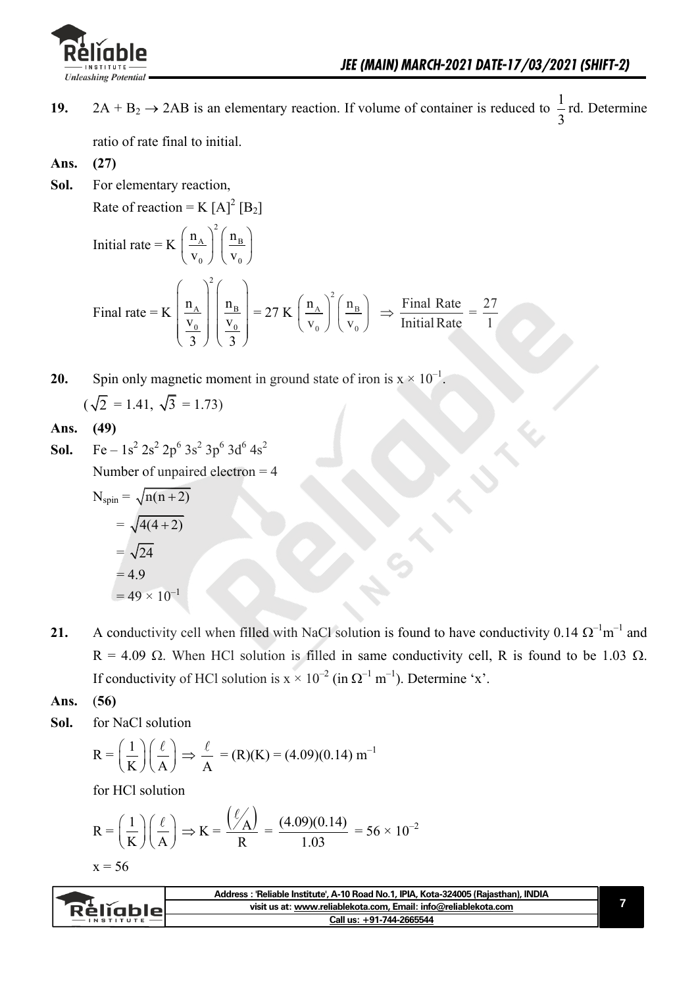

1

- **19.**  $2A + B_2 \rightarrow 2AB$  is an elementary reaction. If volume of container is reduced to  $\frac{1}{2}$ 3 rd. Determine ratio of rate final to initial.
- **Ans. (27)**
- **Sol.** For elementary reaction, Rate of reaction = K  $[A]^2$   $[B_2]$ Initial rate  $= K$  $\left(\frac{n_A}{v_0}\right)^2 \left(\frac{n_B}{v_0}\right)^2$  $n_A \mid n_B$ 0 / \  $\sqrt{0}$  $v_0 \downarrow \text{ } v$ Final rate  $= K$  $\begin{pmatrix} 1 \\ 0 \end{pmatrix}$  $\left| \frac{A}{V} \right| \left| \frac{B}{V} \right|$  $\frac{V_0}{V_0}$  |  $\frac{V_0}{V_0}$  | \ 3 丿 \ 3 丿 2  $A \mid \cdot \cdot$ <sup>11</sup>B  $0$  | |  $\sqrt{0}$  $n_{\rm A}$  | | n  $v_0$  | | v  $3$   $\sqrt{3}$  $= 27 K$  $\left(\frac{n_A}{v_0}\right)^2 \left(\frac{n_B}{v_0}\right)^2$  $A \mid \cdot \mid$   $\text{H}_B$  $0$  )  $\vee$   $^{\mathbf{v}}$  0  $n_A \mid n$  $v_0 \downarrow$   $\vee$  $\Rightarrow$  Final Rate Initial Rate  $=\frac{27}{1}$
- **20.** Spin only magnetic moment in ground state of iron is  $x \times 10^{-1}$ .  $(\sqrt{2} = 1.41, \sqrt{3} = 1.73)$

#### **Ans. (49)**

**Sol.** Fe –  $1s^2 2s^2 2p^6 3s^2 3p^6 3d^6 4s^2$ 

Number of unpaired electron  $=$  4

$$
N_{spin} = \sqrt{n(n+2)}
$$
  
= 
$$
\sqrt{4(4+2)}
$$
  
= 
$$
\sqrt{24}
$$
  
= 4.9  
= 49 × 10<sup>-1</sup>

- **21.** A conductivity cell when filled with NaCl solution is found to have conductivity 0.14  $\Omega^{-1}$ m<sup>-1</sup> and  $R = 4.09 \Omega$ . When HCl solution is filled in same conductivity cell, R is found to be 1.03  $\Omega$ . If conductivity of HCl solution is  $x \times 10^{-2}$  (in  $\Omega^{-1}$  m<sup>-1</sup>). Determine 'x'.
- **Ans.** (**56)**
- **Sol.** for NaCl solution

$$
R = \left(\frac{1}{K}\right) \left(\frac{\ell}{A}\right) \Rightarrow \frac{\ell}{A} = (R)(K) = (4.09)(0.14) \text{ m}^{-1}
$$

for HCl solution

$$
R = \left(\frac{1}{K}\right)\left(\frac{\ell}{A}\right) \Rightarrow K = \frac{\left(\frac{\ell}{A}\right)}{R} = \frac{(4.09)(0.14)}{1.03} = 56 \times 10^{-2}
$$

$$
x=56
$$

|                   | Address: 'Reliable Institute', A-10 Road No.1, IPIA, Kota-324005 (Rajasthan), INDIA |  |
|-------------------|-------------------------------------------------------------------------------------|--|
| <b>Réliable</b>   | visit us at: www.reliablekota.com, Email: info@reliablekota.com                     |  |
| $-$ INSTITUTE $-$ | Call us: +91-744-2665544                                                            |  |